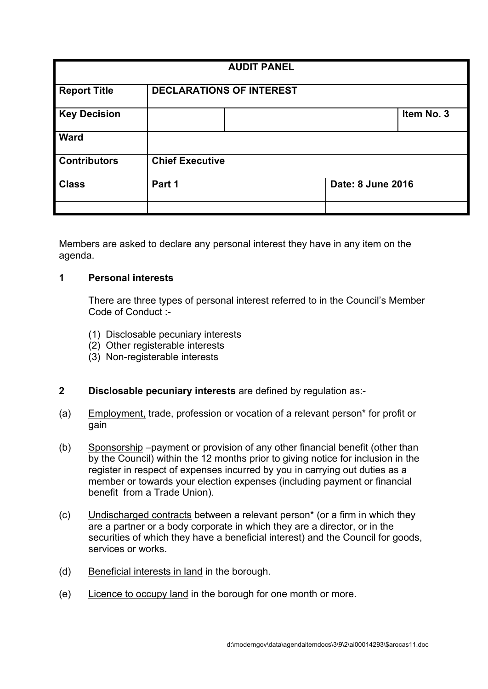| <b>AUDIT PANEL</b>  |                                 |  |                   |            |
|---------------------|---------------------------------|--|-------------------|------------|
| <b>Report Title</b> | <b>DECLARATIONS OF INTEREST</b> |  |                   |            |
| <b>Key Decision</b> |                                 |  |                   | Item No. 3 |
| <b>Ward</b>         |                                 |  |                   |            |
| <b>Contributors</b> | <b>Chief Executive</b>          |  |                   |            |
| <b>Class</b>        | Part 1                          |  | Date: 8 June 2016 |            |
|                     |                                 |  |                   |            |

Members are asked to declare any personal interest they have in any item on the agenda.

## **1 Personal interests**

There are three types of personal interest referred to in the Council's Member Code of Conduct :-

- (1) Disclosable pecuniary interests
- (2) Other registerable interests
- (3) Non-registerable interests

# **2 Disclosable pecuniary interests** are defined by regulation as:-

- (a) Employment, trade, profession or vocation of a relevant person\* for profit or gain
- (b) Sponsorship –payment or provision of any other financial benefit (other than by the Council) within the 12 months prior to giving notice for inclusion in the register in respect of expenses incurred by you in carrying out duties as a member or towards your election expenses (including payment or financial benefit from a Trade Union).
- (c) Undischarged contracts between a relevant person\* (or a firm in which they are a partner or a body corporate in which they are a director, or in the securities of which they have a beneficial interest) and the Council for goods, services or works.
- (d) Beneficial interests in land in the borough.
- (e) Licence to occupy land in the borough for one month or more.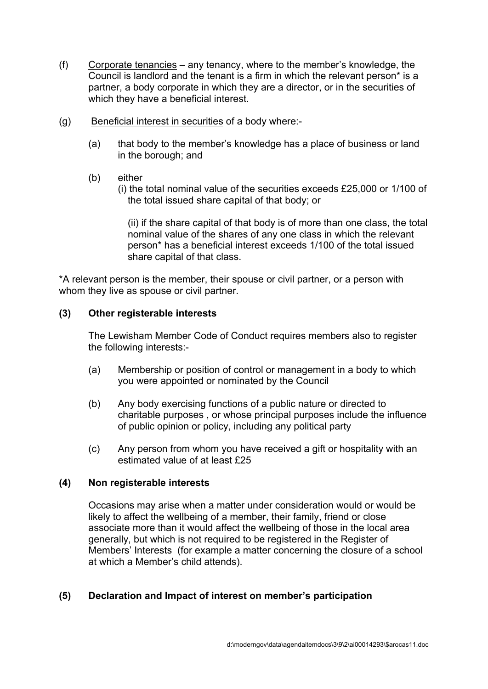- (f) Corporate tenancies any tenancy, where to the member's knowledge, the Council is landlord and the tenant is a firm in which the relevant person\* is a partner, a body corporate in which they are a director, or in the securities of which they have a beneficial interest.
- (g) Beneficial interest in securities of a body where:-
	- (a) that body to the member's knowledge has a place of business or land in the borough; and
	- (b) either
		- (i) the total nominal value of the securities exceeds £25,000 or 1/100 of the total issued share capital of that body; or

(ii) if the share capital of that body is of more than one class, the total nominal value of the shares of any one class in which the relevant person\* has a beneficial interest exceeds 1/100 of the total issued share capital of that class.

\*A relevant person is the member, their spouse or civil partner, or a person with whom they live as spouse or civil partner.

## **(3) Other registerable interests**

The Lewisham Member Code of Conduct requires members also to register the following interests:-

- (a) Membership or position of control or management in a body to which you were appointed or nominated by the Council
- (b) Any body exercising functions of a public nature or directed to charitable purposes , or whose principal purposes include the influence of public opinion or policy, including any political party
- (c) Any person from whom you have received a gift or hospitality with an estimated value of at least £25

#### **(4) Non registerable interests**

Occasions may arise when a matter under consideration would or would be likely to affect the wellbeing of a member, their family, friend or close associate more than it would affect the wellbeing of those in the local area generally, but which is not required to be registered in the Register of Members' Interests (for example a matter concerning the closure of a school at which a Member's child attends).

## **(5) Declaration and Impact of interest on member's participation**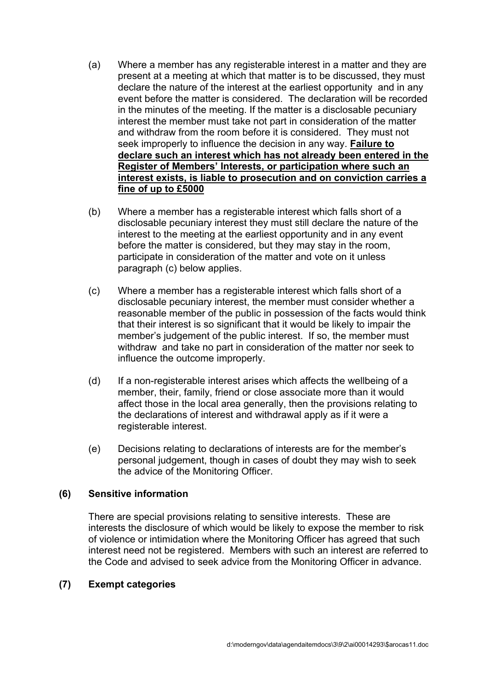- (a) Where a member has any registerable interest in a matter and they are present at a meeting at which that matter is to be discussed, they must declare the nature of the interest at the earliest opportunity and in any event before the matter is considered. The declaration will be recorded in the minutes of the meeting. If the matter is a disclosable pecuniary interest the member must take not part in consideration of the matter and withdraw from the room before it is considered. They must not seek improperly to influence the decision in any way. **Failure to declare such an interest which has not already been entered in the Register of Members' Interests, or participation where such an interest exists, is liable to prosecution and on conviction carries a fine of up to £5000**
- (b) Where a member has a registerable interest which falls short of a disclosable pecuniary interest they must still declare the nature of the interest to the meeting at the earliest opportunity and in any event before the matter is considered, but they may stay in the room, participate in consideration of the matter and vote on it unless paragraph (c) below applies.
- (c) Where a member has a registerable interest which falls short of a disclosable pecuniary interest, the member must consider whether a reasonable member of the public in possession of the facts would think that their interest is so significant that it would be likely to impair the member's judgement of the public interest. If so, the member must withdraw and take no part in consideration of the matter nor seek to influence the outcome improperly.
- (d) If a non-registerable interest arises which affects the wellbeing of a member, their, family, friend or close associate more than it would affect those in the local area generally, then the provisions relating to the declarations of interest and withdrawal apply as if it were a registerable interest.
- (e) Decisions relating to declarations of interests are for the member's personal judgement, though in cases of doubt they may wish to seek the advice of the Monitoring Officer.

## **(6) Sensitive information**

There are special provisions relating to sensitive interests. These are interests the disclosure of which would be likely to expose the member to risk of violence or intimidation where the Monitoring Officer has agreed that such interest need not be registered. Members with such an interest are referred to the Code and advised to seek advice from the Monitoring Officer in advance.

## **(7) Exempt categories**